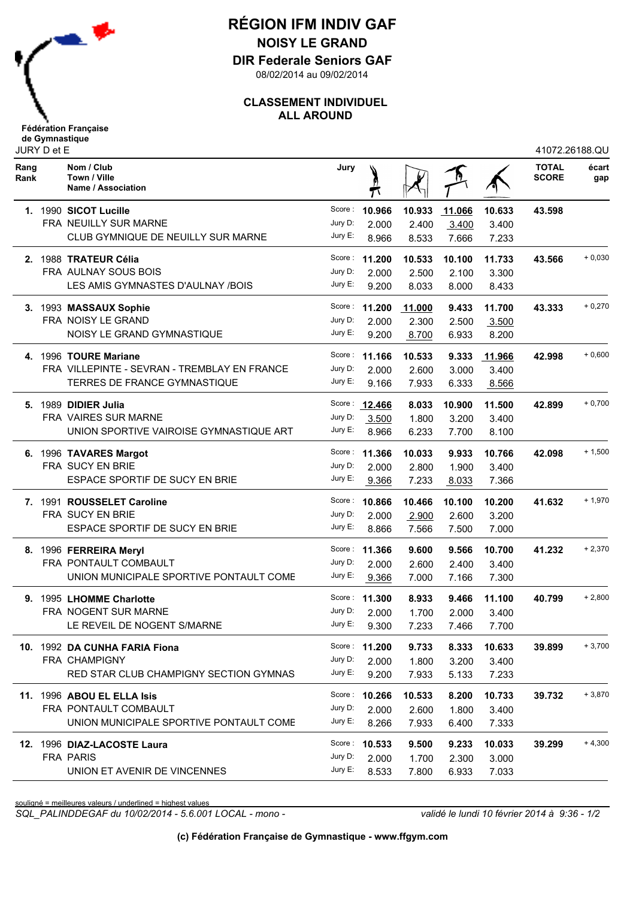

## **RÉGION IFM INDIV GAF NOISY LE GRAND**

**DIR Federale Seniors GAF**

08/02/2014 au 09/02/2014

## **CLASSEMENT INDIVIDUEL ALL AROUND**

|              | JURY D et E |                                                  |            |               |        |        |        | 41072.26188.QU               |              |
|--------------|-------------|--------------------------------------------------|------------|---------------|--------|--------|--------|------------------------------|--------------|
| Rang<br>Rank |             | Nom / Club<br>Town / Ville<br>Name / Association | Jury       |               |        |        |        | <b>TOTAL</b><br><b>SCORE</b> | écart<br>gap |
|              |             | 1. 1990 SICOT Lucille                            | Score :    | 10.966        | 10.933 | 11.066 | 10.633 | 43.598                       |              |
|              |             | FRA NEUILLY SUR MARNE                            | Jury D:    | 2.000         | 2.400  | 3.400  | 3.400  |                              |              |
|              |             | CLUB GYMNIQUE DE NEUILLY SUR MARNE               | Jury E:    | 8.966         | 8.533  | 7.666  | 7.233  |                              |              |
|              |             | 2. 1988 TRATEUR Célia                            |            | Score: 11.200 | 10.533 | 10.100 | 11.733 | 43.566                       | $+0,030$     |
|              |             | FRA AULNAY SOUS BOIS                             | Jury D:    | 2.000         | 2.500  | 2.100  | 3.300  |                              |              |
|              |             | LES AMIS GYMNASTES D'AULNAY /BOIS                | Jury E:    | 9.200         | 8.033  | 8.000  | 8.433  |                              |              |
|              |             | 3. 1993 MASSAUX Sophie                           |            | Score: 11.200 | 11.000 | 9.433  | 11.700 | 43.333                       | $+0,270$     |
|              |             | FRA NOISY LE GRAND                               | Jury D:    | 2.000         | 2.300  | 2.500  | 3.500  |                              |              |
|              |             | NOISY LE GRAND GYMNASTIQUE                       | Jury E:    | 9.200         | 8.700  | 6.933  | 8.200  |                              |              |
|              |             | 4. 1996 TOURE Mariane                            |            | Score: 11.166 | 10.533 | 9.333  | 11.966 | 42.998                       | $+0,600$     |
|              |             | FRA VILLEPINTE - SEVRAN - TREMBLAY EN FRANCE     | Jury D:    | 2.000         | 2.600  | 3.000  | 3.400  |                              |              |
|              |             | TERRES DE FRANCE GYMNASTIQUE                     | Jury E:    | 9.166         | 7.933  | 6.333  | 8.566  |                              |              |
|              |             | 5. 1989 DIDIER Julia                             |            | Score: 12,466 | 8.033  | 10.900 | 11.500 | 42.899                       | $+0,700$     |
|              |             | FRA VAIRES SUR MARNE                             | Jury D:    | 3.500         | 1.800  | 3.200  | 3.400  |                              |              |
|              |             | UNION SPORTIVE VAIROISE GYMNASTIQUE ART          | Jury E:    | 8.966         | 6.233  | 7.700  | 8.100  |                              |              |
|              |             | 6. 1996 TAVARES Margot                           |            | Score: 11.366 | 10.033 | 9.933  | 10.766 | 42.098                       | $+ 1,500$    |
|              |             | FRA SUCY EN BRIE                                 | Jury D:    | 2.000         | 2.800  | 1.900  | 3.400  |                              |              |
|              |             | ESPACE SPORTIF DE SUCY EN BRIE                   | Jury E:    | 9.366         | 7.233  | 8.033  | 7.366  |                              |              |
|              |             | 7. 1991 ROUSSELET Caroline                       |            | Score: 10.866 | 10.466 | 10.100 | 10.200 | 41.632                       | $+1,970$     |
|              |             | FRA SUCY EN BRIE                                 | Jury D:    | 2.000         | 2.900  | 2.600  | 3.200  |                              |              |
|              |             | ESPACE SPORTIF DE SUCY EN BRIE                   | Jury E:    | 8.866         | 7.566  | 7.500  | 7.000  |                              |              |
|              |             | 8. 1996 FERREIRA Meryl                           |            | Score: 11.366 | 9.600  | 9.566  | 10.700 | 41.232                       | $+2,370$     |
|              |             | FRA PONTAULT COMBAULT                            | Jury D:    | 2.000         | 2.600  | 2.400  | 3.400  |                              |              |
|              |             | UNION MUNICIPALE SPORTIVE PONTAULT COME          | Jury $E$ : | 9.366         | 7.000  | 7.166  | 7.300  |                              |              |
|              |             | 9. 1995 LHOMME Charlotte                         |            | Score: 11.300 | 8.933  | 9.466  | 11.100 | 40.799                       | $+2,800$     |
|              |             | FRA NOGENT SUR MARNE                             | Jury D:    | 2.000         | 1.700  | 2.000  | 3.400  |                              |              |
|              |             | LE REVEIL DE NOGENT S/MARNE                      | Jury E:    | 9.300         | 7.233  | 7.466  | 7.700  |                              |              |
|              |             | 10. 1992 DA CUNHA FARIA Fiona                    |            | Score: 11.200 | 9.733  | 8.333  | 10.633 | 39.899                       | $+3,700$     |
|              |             | FRA CHAMPIGNY                                    | Jury D:    | 2.000         | 1.800  | 3.200  | 3.400  |                              |              |
|              |             | RED STAR CLUB CHAMPIGNY SECTION GYMNAS           | Jury E:    | 9.200         | 7.933  | 5.133  | 7.233  |                              |              |
|              |             | 11. 1996 ABOU EL ELLA Isis                       |            | Score: 10.266 | 10.533 | 8.200  | 10.733 | 39.732                       | $+3,870$     |
|              |             | FRA PONTAULT COMBAULT                            | Jury D:    | 2.000         | 2.600  | 1.800  | 3.400  |                              |              |
|              |             | UNION MUNICIPALE SPORTIVE PONTAULT COME          | Jury E:    | 8.266         | 7.933  | 6.400  | 7.333  |                              |              |
|              |             | 12. 1996 DIAZ-LACOSTE Laura                      |            | Score: 10.533 | 9.500  | 9.233  | 10.033 | 39.299                       | $+4,300$     |
|              |             | <b>FRA PARIS</b>                                 | Jury D:    | 2.000         | 1.700  | 2.300  | 3.000  |                              |              |
|              |             | UNION ET AVENIR DE VINCENNES                     | Jury E:    | 8.533         | 7.800  | 6.933  | 7.033  |                              |              |

souligné = meilleures valeurs / underlined = highest values

*SQL\_PALINDDEGAF du 10/02/2014 - 5.6.001 LOCAL - mono - validé le lundi 10 février 2014 à 9:36 - 1/2*